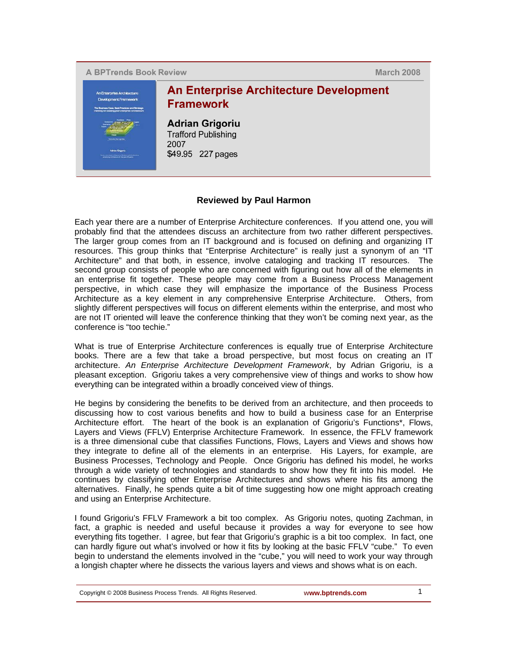

**March 2008** 



## **Reviewed by Paul Harmon**

Each year there are a number of Enterprise Architecture conferences. If you attend one, you will probably find that the attendees discuss an architecture from two rather different perspectives. The larger group comes from an IT background and is focused on defining and organizing IT resources. This group thinks that "Enterprise Architecture" is really just a synonym of an "IT Architecture" and that both, in essence, involve cataloging and tracking IT resources. The second group consists of people who are concerned with figuring out how all of the elements in an enterprise fit together. These people may come from a Business Process Management perspective, in which case they will emphasize the importance of the Business Process Architecture as a key element in any comprehensive Enterprise Architecture. Others, from slightly different perspectives will focus on different elements within the enterprise, and most who are not IT oriented will leave the conference thinking that they won't be coming next year, as the conference is "too techie."

What is true of Enterprise Architecture conferences is equally true of Enterprise Architecture books. There are a few that take a broad perspective, but most focus on creating an IT architecture. *An Enterprise Architecture Development Framework*, by Adrian Grigoriu, is a pleasant exception. Grigoriu takes a very comprehensive view of things and works to show how everything can be integrated within a broadly conceived view of things.

He begins by considering the benefits to be derived from an architecture, and then proceeds to discussing how to cost various benefits and how to build a business case for an Enterprise Architecture effort. The heart of the book is an explanation of Grigoriu's Functions\*, Flows, Layers and Views (FFLV) Enterprise Architecture Framework. In essence, the FFLV framework is a three dimensional cube that classifies Functions, Flows, Layers and Views and shows how they integrate to define all of the elements in an enterprise. His Layers, for example, are Business Processes, Technology and People. Once Grigoriu has defined his model, he works through a wide variety of technologies and standards to show how they fit into his model. He continues by classifying other Enterprise Architectures and shows where his fits among the alternatives. Finally, he spends quite a bit of time suggesting how one might approach creating and using an Enterprise Architecture.

I found Grigoriu's FFLV Framework a bit too complex. As Grigoriu notes, quoting Zachman, in fact, a graphic is needed and useful because it provides a way for everyone to see how everything fits together. I agree, but fear that Grigoriu's graphic is a bit too complex. In fact, one can hardly figure out what's involved or how it fits by looking at the basic FFLV "cube." To even begin to understand the elements involved in the "cube," you will need to work your way through a longish chapter where he dissects the various layers and views and shows what is on each.

Copyright © 2008 Business Process Trends. All Rights Reserved. **www.bptrends.com** 1